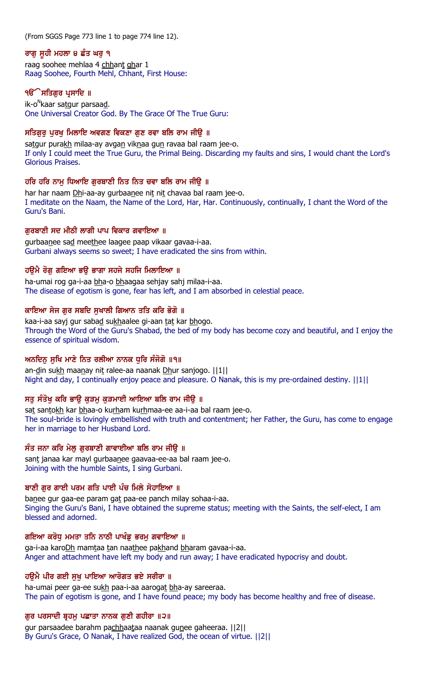(From SGGS Page 773 line 1 to page 774 line 12).

#### ਰਾਗ ਸਹੀ ਮਹਲਾ ੪ ਛੰਤ ਘਰ ੧

raag soohee mehlaa 4 chhant ghar 1 Raag Soohee, Fourth Mehl, Chhant, First House:

### **ੴ ਸਤਿਗਰ ਪਸਾਦਿ** ॥

ik-o<sup>n</sup>kaar sa<u>t</u>gur parsaa<u>d</u>. One Universal Creator God. By The Grace Of The True Guru:

### ਸਤਿਗੁਰੂ ਪੂਰਖੂ ਮਿਲਾਇ ਅਵਗਣ ਵਿਕਣਾ ਗੁਣ ਰਵਾ ਬਲਿ ਰਾਮ ਜੀਉ ॥

satgur purakh milaa-ay avgan viknaa gun ravaa bal raam jee-o. If only I could meet the True Guru, the Primal Being. Discarding my faults and sins, I would chant the Lord's Glorious Praises.

# ਹਰਿ ਹਰਿ ਨਾਮੂ ਧਿਆਇ ਗੁਰਬਾਣੀ ਨਿਤ ਨਿਤ ਚਵਾ ਬਲਿ ਰਾਮ ਜੀਉ ॥

har har naam Dhi-aa-ay gurbaanee nit nit chavaa bal raam jee-o. I meditate on the Naam, the Name of the Lord, Har, Har. Continuously, continually, I chant the Word of the Guru's Bani.

# ਗੁਰਬਾਣੀ ਸਦ ਮੀਠੀ ਲਾਗੀ ਪਾਪ ਵਿਕਾਰ ਗਵਾਇਆ ॥

gurbaanee sad meethee laagee paap vikaar gavaa-i-aa. Gurbani always seems so sweet; I have eradicated the sins from within.

# ਹੳਮੈ ਰੋਗ ਗਇਆ ਭੳ ਭਾਗਾ ਸਹਜੇ ਸਹਜਿ ਮਿਲਾਇਆ ॥

ha-umai rog ga-i-aa bha-o bhaagaa sehjay sahj milaa-i-aa. The disease of egotism is gone, fear has left, and I am absorbed in celestial peace.

# ਕਾਇਆ ਸੇਜ ਗਰ ਸਬਦਿ ਸਖਾਲੀ ਗਿਆਨ ਤਤਿ ਕਰਿ ਭੋਗੋ ॥

kaa-i-aa sayj gur sabad sukhaalee gi-aan tat kar bhogo. Through the Word of the Guru's Shabad, the bed of my body has become cozy and beautiful, and I enjoy the essence of spiritual wisdom.

# ਅਨਦਿਨ ਸਖਿ ਮਾਣੇ ਨਿਤ ਰਲੀਆ ਨਾਨਕ ਧਰਿ ਸੰਜੋਗੋ ॥੧॥

an-din sukh maanay nit ralee-aa naanak Dhur sanjogo. ||1|| Night and day, I continually enjoy peace and pleasure. O Nanak, this is my pre-ordained destiny. ||1||

# ਸਤੂ ਸੰਤੋਖੂ ਕਰਿ ਭਾਉ ਕੁੜਮੂ ਕੁੜਮਾਈ ਆਇਆ ਬਲਿ ਰਾਮ ਜੀਉ ॥

sat santokh kar bhaa-o kurham kurhmaa-ee aa-i-aa bal raam jee-o. The soul-bride is lovingly embellished with truth and contentment; her Father, the Guru, has come to engage her in marriage to her Husband Lord.

# ਸੰਤ ਜਨਾ ਕਰਿ ਮੇਲੂ ਗੁਰਬਾਣੀ ਗਾਵਾਈਆ ਬਲਿ ਰਾਮ ਜੀਉ ॥

sant janaa kar mayl gurbaanee gaavaa-ee-aa bal raam jee-o. Joining with the humble Saints, I sing Gurbani.

# ਬਾਣੀ ਗਰ ਗਾਈ ਪਰਮ ਗਤਿ ਪਾਈ ਪੰਚ ਮਿਲੇ ਸੋਹਾਇਆ ॥

banee gur gaa-ee param gat paa-ee panch milay sohaa-i-aa. Singing the Guru's Bani, I have obtained the supreme status; meeting with the Saints, the self-elect, I am blessed and adorned.

# ਗਇਆ ਕਰੋਧੂ ਮਮਤਾ ਤਨਿ ਨਾਠੀ ਪਾਖੰਡੂ ਭਰਮੂ ਗਵਾਇਆ ॥

ga-i-aa karoDh mamtaa tan naathee pakhand bharam gavaa-i-aa. Anger and attachment have left my body and run away; I have eradicated hypocrisy and doubt.

# ਹੳਮੈ ਪੀਰ ਗਈ ਸਖ ਪਾਇਆ ਆਰੋਗਤ ਭਏ ਸਰੀਰਾ ॥

ha-umai peer ga-ee sukh paa-i-aa aarogat bha-ay sareeraa. The pain of egotism is gone, and I have found peace; my body has become healthy and free of disease.

# ਗੁਰ ਪਰਸਾਦੀ ਬ੍ਰਹਮੁ ਪਛਾਤਾ ਨਾਨਕ ਗੁਣੀ ਗਹੀਰਾ ॥੨॥

gur parsaadee barahm pachhaataa naanak gunee gaheeraa. ||2|| By Guru's Grace, O Nanak, I have realized God, the ocean of virtue. ||2||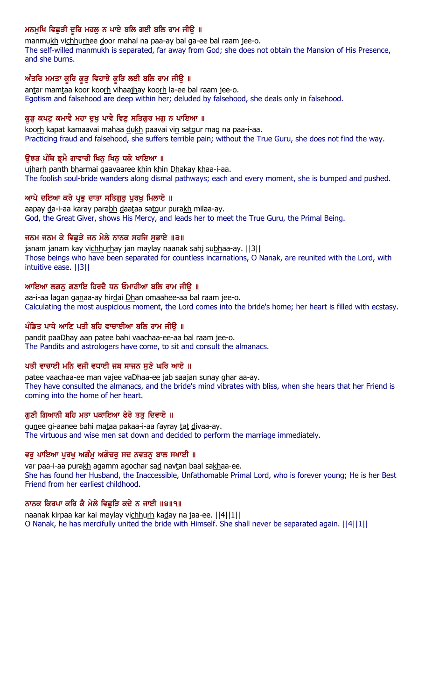# ਮਨਮੁਖਿ ਵਿਛੁੜੀ ਦੂਰਿ ਮਹਲੁ ਨ ਪਾਏ ਬਲਿ ਗਈ ਬਲਿ ਰਾਮ ਜੀਉ ॥

manmukh vichhurhee door mahal na paa-ay bal ga-ee bal raam jee-o. The self-willed manmukh is separated, far away from God; she does not obtain the Mansion of His Presence, and she burns.

# ਅੰਤਰਿ ਮਮਤਾ ਕੁਰਿ ਕੁੜੁ ਵਿਹਾਝੇ ਕੁੜਿ ਲਈ ਬਲਿ ਰਾਮ ਜੀਉ ॥

antar mamtaa koor koorh vihaajhay koorh la-ee bal raam jee-o. Egotism and falsehood are deep within her; deluded by falsehood, she deals only in falsehood.

# ਕੁੜੂ ਕਪਟੂ ਕਮਾਵੈ ਮਹਾ ਦੁਖੂ ਪਾਵੈ ਵਿਣੂ ਸਤਿਗੁਰ ਮਗੂ ਨ ਪਾਇਆ ॥

koorh kapat kamaavai mahaa dukh paavai vin satgur mag na paa-i-aa. Practicing fraud and falsehood, she suffers terrible pain; without the True Guru, she does not find the way.

# ਉਝੜ ਪੰਥਿ ਭ੍ਰਮੈ ਗਾਵਾਰੀ ਖਿਨੁ ਖਿਨੁ ਧਕੇ ਖਾਇਆ ॥

ujharh panth bharmai gaavaaree khin khin Dhakay khaa-i-aa. The foolish soul-bride wanders along dismal pathways; each and every moment, she is bumped and pushed.

### ਆਪੇ ਦਇਆ ਕਰੇ ਪ੍ਰਭੂ ਦਾਤਾ ਸਤਿਗੁਰੂ ਪੂਰਖੂ ਮਿਲਾਏ ॥

aapay da-i-aa karay parabh daataa satgur purakh milaa-ay. God, the Great Giver, shows His Mercy, and leads her to meet the True Guru, the Primal Being.

### ਜਨਮ ਜਨਮ ਕੇ ਵਿਛੜੇ ਜਨ ਮੇਲੇ ਨਾਨਕ ਸਹਜਿ ਸਭਾਏ ॥੩॥

janam janam kay vichhurhay jan maylay naanak sahj subhaa-ay. [[3]] Those beings who have been separated for countless incarnations, O Nanak, are reunited with the Lord, with intuitive ease. ||3||

# ਆਇਆ ਲਗਨ ਗਣਾਇ ਹਿਰਦੈ ਧਨ ਓਮਾਹੀਆ ਬਲਿ ਰਾਮ ਜੀੳ ॥

aa-i-aa lagan ganaa-ay hirdai Dhan omaahee-aa bal raam jee-o. Calculating the most auspicious moment, the Lord comes into the bride's home; her heart is filled with ecstasy.

### ਪੰਡਿਤ ਪਾਧੇ ਆਣਿ ਪਤੀ ਬਹਿ ਵਾਚਾਈਆ ਬਲਿ ਰਾਮ ਜੀੳ ॥

pandit paaDhay aan patee bahi vaachaa-ee-aa bal raam jee-o. The Pandits and astrologers have come, to sit and consult the almanacs.

# ਪਤੀ ਵਾਚਾਈ ਮਨਿ ਵਜੀ ਵਧਾਈ ਜਬ ਸਾਜਨ ਸੁਣੇ ਘਰਿ ਆਏ ॥

patee vaachaa-ee man vajee vaDhaa-ee jab saajan sunay ghar aa-ay. They have consulted the almanacs, and the bride's mind vibrates with bliss, when she hears that her Friend is coming into the home of her heart.

# ਗੁਣੀ ਗਿਆਨੀ ਬਹਿ ਮਤਾ ਪਕਾਇਆ ਫੇਰੇ ਤਤੁ ਦਿਵਾਏ ॥

gunee gi-aanee bahi mataa pakaa-i-aa fayray tat divaa-ay. The virtuous and wise men sat down and decided to perform the marriage immediately.

#### ਵਰ ਪਾਇਆ ਪਰਖ ਅਗੰਮ ਅਗੋਚਰ ਸਦ ਨਵਤਨ ਬਾਲ ਸਖਾਈ ॥

var paa-i-aa purakh agamm agochar sad navtan baal sakhaa-ee. She has found her Husband, the Inaccessible, Unfathomable Primal Lord, who is forever young; He is her Best Friend from her earliest childhood.

# ਨਾਨਕ ਕਿਰਪਾ ਕਰਿ ਕੈ ਮੇਲੇ ਵਿਛੜਿ ਕਦੇ ਨ ਜਾਈ ॥੪॥੧॥

naanak kirpaa kar kai maylay vichhurh kaday na jaa-ee. [[4][1]] O Nanak, he has mercifully united the bride with Himself. She shall never be separated again. ||4||1||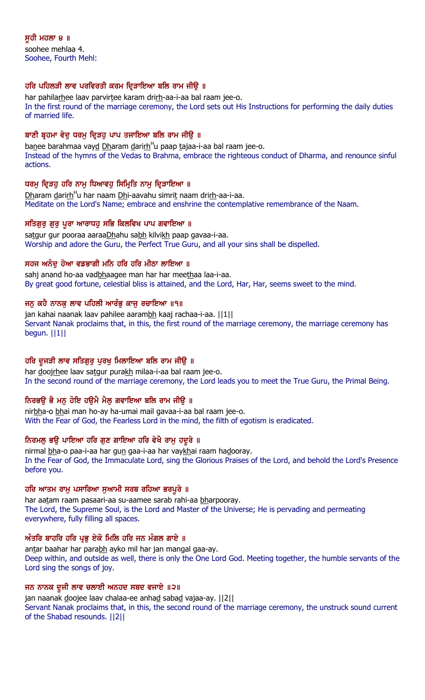ਸੁਹੀ ਮਹਲਾ ੪ ॥ soohee mehlaa 4. Soohee, Fourth Mehl:

# ਹਰਿ ਪਹਿਲੜੀ ਲਾਵ ਪਰਵਿਰਤੀ ਕਰਮ ਦਿੜਾਇਆ ਬਲਿ ਰਾਮ ਜੀੳ ॥

har pahilarhee laav parvirtee karam drirh-aa-i-aa bal raam jee-o. In the first round of the marriage ceremony, the Lord sets out His Instructions for performing the daily duties of married life.

#### ਬਾਣੀ ਬੁਹਮਾ ਵੇਦ ਧਰਮ ਦਿੜਹ ਪਾਪ ਤਜਾਇਆ ਬਲਿ ਰਾਮ ਜੀੳ ॥

ba<u>n</u>ee barahmaa vay<u>d Dh</u>aram <u>d</u>ari<u>rh</u><sup>H</sup>u paap tajaa-i-aa bal raam jee-o. Instead of the hymns of the Vedas to Brahma, embrace the righteous conduct of Dharma, and renounce sinful actions.

### ਧਰਮ ਦਿੜਹ ਹਰਿ ਨਾਮ ਧਿਆਵਹ ਸਿਮ੍ਰਿਤਿ ਨਾਮ ਦਿੜਾਇਆ ॥

<u>Dh</u>aram <u>d</u>ari<u>rh</u><sup>H</sup>u har naam <u>Dh</u>i-aavahu simrit naam dri<u>rh</u>-aa-i-aa. Meditate on the Lord's Name; embrace and enshrine the contemplative remembrance of the Naam.

### ਸਤਿਗੁਰੁ ਗੁਰੁ ਪੁਰਾ ਆਰਾਧਹੁ ਸਭਿ ਕਿਲਵਿਖ ਪਾਪ ਗਵਾਇਆ ॥

satgur gur pooraa aaraaDhahu sabh kilvikh paap gavaa-i-aa. Worship and adore the Guru, the Perfect True Guru, and all your sins shall be dispelled.

### ਸਹਜ ਅਨੰਦੂ ਹੋਆ ਵਡਭਾਗੀ ਮਨਿ ਹਰਿ ਹਰਿ ਮੀਠਾ ਲਾਇਆ ॥

sahj anand ho-aa vadbhaagee man har har meethaa laa-i-aa. By great good fortune, celestial bliss is attained, and the Lord, Har, Har, seems sweet to the mind.

### ਜਨ ਕਹੈ ਨਾਨਕ ਲਾਵ ਪਹਿਲੀ ਆਰੰਭ ਕਾਜ ਰਚਾਇਆ ॥੧॥

jan kahai naanak laav pahilee aarambh kaaj rachaa-i-aa. ||1|| Servant Nanak proclaims that, in this, the first round of the marriage ceremony, the marriage ceremony has begun. ||1||

# ਹਰਿ ਦੁਜੜੀ ਲਾਵ ਸਤਿਗੁਰੂ ਪੂਰਖੂ ਮਿਲਾਇਆ ਬਲਿ ਰਾਮ ਜੀਉ ॥

har doojrhee laav satgur purakh milaa-i-aa bal raam jee-o. In the second round of the marriage ceremony, the Lord leads you to meet the True Guru, the Primal Being.

# ਨਿਰਭਉ ਭੈ ਮਨੁ ਹੋਇ ਹਉਮੈ ਮੈਲੁ ਗਵਾਇਆ ਬਲਿ ਰਾਮ ਜੀਉ ॥

nirbha-o bhai man ho-ay ha-umai mail gavaa-i-aa bal raam jee-o. With the Fear of God, the Fearless Lord in the mind, the filth of egotism is eradicated.

# ਨਿਰਮਲੂ ਭਉ ਪਾਇਆ ਹਰਿ ਗੁਣ ਗਾਇਆ ਹਰਿ ਵੇਖੈ ਰਾਮੂ ਹਦੂਰੇ ॥

nirmal bha-o paa-i-aa har gun gaa-i-aa har vaykhai raam hadooray. In the Fear of God, the Immaculate Lord, sing the Glorious Praises of the Lord, and behold the Lord's Presence before you.

#### ਹਰਿ ਆਤਮ ਰਾਮੂ ਪਸਾਰਿਆ ਸੁਆਮੀ ਸਰਬ ਰਹਿਆ ਭਰਪੂਰੇ ॥

har aatam raam pasaari-aa su-aamee sarab rahi-aa bharpooray. The Lord, the Supreme Soul, is the Lord and Master of the Universe; He is pervading and permeating everywhere, fully filling all spaces.

#### ਅੰਤਰਿ ਬਾਹਰਿ ਹਰਿ ਪ੍ਰਭੁ ਏਕੋ ਮਿਲਿ ਹਰਿ ਜਨ ਮੰਗਲ ਗਾਏ ॥

antar baahar har parabh ayko mil har jan mangal gaa-ay. Deep within, and outside as well, there is only the One Lord God. Meeting together, the humble servants of the Lord sing the songs of joy.

#### ਜਨ ਨਾਨਕ ਦੂਜੀ ਲਾਵ ਚਲਾਈ ਅਨਹਦ ਸਬਦ ਵਜਾਏ ॥੨॥

jan naanak doojee laav chalaa-ee anhad sabad vajaa-ay. [[2]] Servant Nanak proclaims that, in this, the second round of the marriage ceremony, the unstruck sound current of the Shabad resounds. ||2||